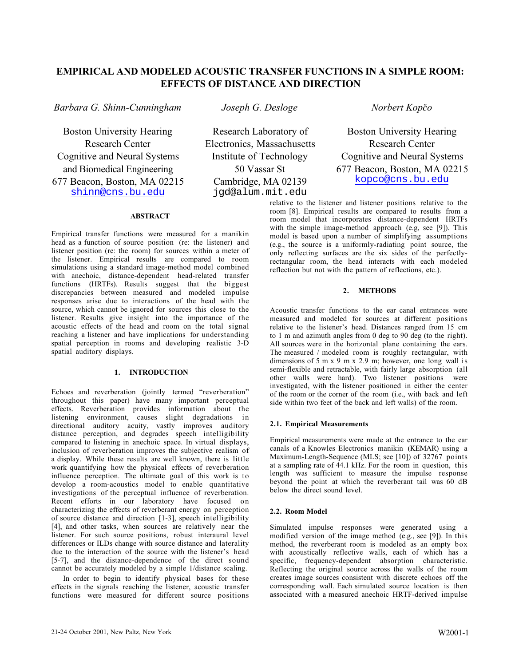# **EMPIRICAL AND MODELED ACOUSTIC TRANSFER FUNCTIONS IN A SIMPLE ROOM: EFFECTS OF DISTANCE AND DIRECTION**

*Barbara G. Shinn-Cunningham Joseph G. Desloge Norbert Kopão*

Boston University Hearing Research Center Cognitive and Neural Systems and Biomedical Engineering 677 Beacon, Boston, MA 02215 shinn@cns.bu.edu

Research Laboratory of Electronics, Massachusetts Institute of Technology 50 Vassar St Cambridge, MA 02139 jgd@alum.mit.edu

Boston University Hearing Research Center Cognitive and Neural Systems 677 Beacon, Boston, MA 02215 kopco@cns.bu.edu

### **ABSTRACT**

Empirical transfer functions were measured for a manikin head as a function of source position (re: the listener) and listener position (re: the room) for sources within a meter of the listener. Empirical results are compared to room simulations using a standard image-method model combined with anechoic, distance-dependent head-related transfer functions (HRTFs). Results suggest that the biggest discrepancies between measured and modeled impulse responses arise due to interactions of the head with the source, which cannot be ignored for sources this close to the listener. Results give insight into the importance of the acoustic effects of the head and room on the total signal reaching a listener and have implications for understanding spatial perception in rooms and developing realistic 3-D spatial auditory displays.

### **1. INTRODUCTION**

Echoes and reverberation (jointly termed "reverberation" throughout this paper) have many important perceptual effects. Reverberation provides information about the listening environment, causes slight degradations in directional auditory acuity, vastly improves auditory distance perception, and degrades speech intelligibility compared to listening in anechoic space. In virtual displays, inclusion of reverberation improves the subjective realism of a display. While these results are well known, there is little work quantifying how the physical effects of reverberation influence perception. The ultimate goal of this work is to develop a room-acoustics model to enable quantitative investigations of the perceptual influence of reverberation. Recent efforts in our laboratory have focused on characterizing the effects of reverberant energy on perception of source distance and direction [1-3], speech intelligibility [4], and other tasks, when sources are relatively near the listener. For such source positions, robust interaural level differences or ILDs change with source distance and laterality due to the interaction of the source with the listener's head [5-7], and the distance-dependence of the direct sound cannot be accurately modeled by a simple 1/distance scaling.

In order to begin to identify physical bases for these effects in the signals reaching the listener, acoustic transfer functions were measured for different source positions relative to the listener and listener positions relative to the room [8]. Empirical results are compared to results from a room model that incorporates distance-dependent HRTFs with the simple image-method approach (e.g, see [9]). This model is based upon a number of simplifying assumptions (e.g., the source is a uniformly-radiating point source, the only reflecting surfaces are the six sides of the perfectlyrectangular room, the head interacts with each modeled reflection but not with the pattern of reflections, etc.).

## **2. METHODS**

Acoustic transfer functions to the ear canal entrances were measured and modeled for sources at different positions relative to the listener's head. Distances ranged from 15 cm to 1 m and azimuth angles from 0 deg to 90 deg (to the right). All sources were in the horizontal plane containing the ears. The measured / modeled room is roughly rectangular, with dimensions of 5 m x 9 m x 2.9 m; however, one long wall is semi-flexible and retractable, with fairly large absorption (all other walls were hard). Two listener positions were investigated, with the listener positioned in either the center of the room or the corner of the room (i.e., with back and left side within two feet of the back and left walls) of the room.

# **2.1. Empirical Measurements**

Empirical measurements were made at the entrance to the ear canals of a Knowles Electronics manikin (KEMAR) using a Maximum-Length-Sequence (MLS; see [10]) of 32767 points at a sampling rate of 44.1 kHz. For the room in question, this length was sufficient to measure the impulse response beyond the point at which the reverberant tail was 60 dB below the direct sound level.

# **2.2. Room Model**

Simulated impulse responses were generated using a modified version of the image method (e.g., see [9]). In this method, the reverberant room is modeled as an empty box with acoustically reflective walls, each of which has a specific, frequency-dependent absorption characteristic. Reflecting the original source across the walls of the room creates image sources consistent with discrete echoes off the corresponding wall. Each simulated source location is then associated with a measured anechoic HRTF-derived impulse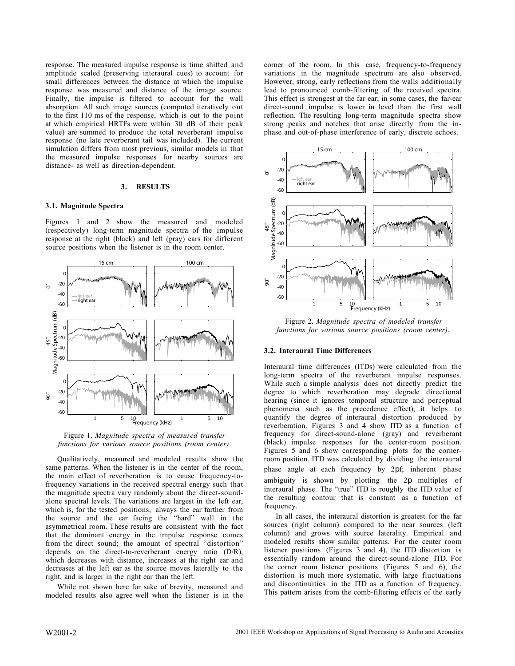response. The measured impulse response is time shifted and amplitude scaled (preserving interaural cues) to account for small differences between the distance at which the impulse response was measured and distance of the image source. Finally, the impulse is filtered to account for the wall absorption. All such image sources (computed iteratively out to the first 110 ms of the response, which is out to the point at which empirical HRTFs were within 30 dB of their peak value) are summed to produce the total reverberant impulse response (no late reverberant tail was included). The current simulation differs from most previous, similar models in that the measured impulse responses for nearby sources are distance- as well as direction-dependent.

#### **3. RESULTS**

#### **3.1. Magnitude Spectra**

Figures 1 and 2 show the measured and modeled (respectively) long-term magnitude spectra of the impulse response at the right (black) and left (gray) ears for different source positions when the listener is in the room center.



Figure 1. *Magnitude spectra of measured transfer functions for various source positions (room center)*.

Qualitatively, measured and modeled results show the same patterns. When the listener is in the center of the room, the main effect of reverberation is to cause frequency-tofrequency variations in the received spectral energy such that the magnitude spectra vary randomly about the direct-soundalone spectral levels. The variations are largest in the left ear, which is, for the tested positions, always the ear farther from the source and the ear facing the "hard" wall in the asymmetrical room. These results are consistent with the fact that the dominant energy in the impulse response comes from the direct sound; the amount of spectral "distortion" depends on the direct-to-reverberant energy ratio (D/R), which decreases with distance, increases at the right ear and decreases at the left ear as the source moves laterally to the right, and is larger in the right ear than the left.

While not shown here for sake of brevity, measured and modeled results also agree well when the listener is in the

corner of the room. In this case, frequency-to-frequency variations in the magnitude spectrum are also observed. However, strong, early reflections from the walls additionally lead to pronounced comb-filtering of the received spectra. This effect is strongest at the far ear; in some cases, the far-ear direct-sound impulse is lower in level than the first wall reflection. The resulting long-term magnitude spectra show strong peaks and notches that arise directly from the inphase and out-of-phase interference of early, discrete echoes.



Figure 2. *Magnitude spectra of modeled transfer functions for various source positions (room center)*.

#### **3.2. Interaural Time Differences**

Interaural time differences (ITDs) were calculated from the long-term spectra of the reverberant impulse responses. While such a simple analysis does not directly predict the degree to which reverberation may degrade directional hearing (since it ignores temporal structure and perceptual phenomena such as the precedence effect), it helps to quantify the degree of interaural distortion produced by reverberation. Figures 3 and 4 show ITD as a function of frequency for direct-sound-alone (gray) and reverberant (black) impulse responses for the center-room position. Figures 5 and 6 show corresponding plots for the cornerroom position. ITD was calculated by dividing the interaural phase angle at each frequency by 2 f; inherent phase ambiguity is shown by plotting the 2 multiples of interaural phase. The "true" ITD is roughly the ITD value of the resulting contour that is constant as a function of frequency.

In all cases, the interaural distortion is greatest for the far sources (right column) compared to the near sources (left column) and grows with source laterality. Empirical and modeled results show similar patterns. For the center room listener positions (Figures 3 and 4), the ITD distortion is essentially random around the direct-sound-alone ITD. For the corner room listener positions (Figures 5 and 6), the distortion is much more systematic, with large fluctuations and discontinuities in the ITD as a function of frequency. This pattern arises from the comb-filtering effects of the early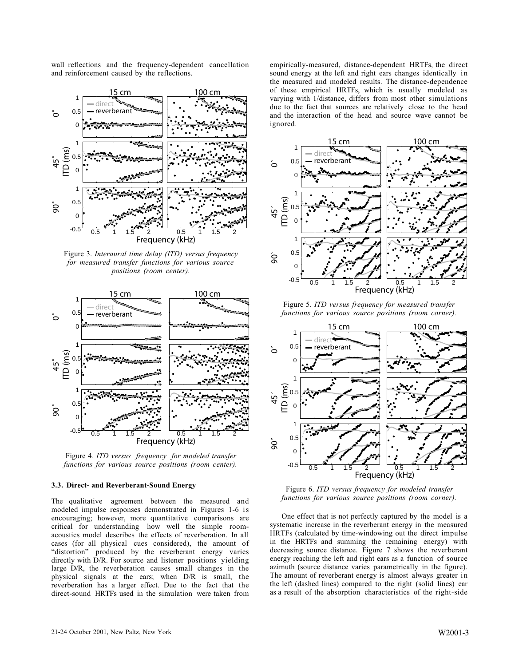wall reflections and the frequency-dependent cancellation and reinforcement caused by the reflections.



Figure 3. *Interaural time delay (ITD) versus frequency for measured transfer functions for various source positions (room center).*



Figure 4. *ITD versus frequency for modeled transfer functions for various source positions (room center).*

#### **3.3. Direct- and Reverberant-Sound Energy**

The qualitative agreement between the measured and modeled impulse responses demonstrated in Figures 1-6 is encouraging; however, more quantitative comparisons are critical for understanding how well the simple roomacoustics model describes the effects of reverberation. In all cases (for all physical cues considered), the amount of "distortion" produced by the reverberant energy varies directly with D/R. For source and listener positions yielding large D/R, the reverberation causes small changes in the physical signals at the ears; when D/R is small, the reverberation has a larger effect. Due to the fact that the direct-sound HRTFs used in the simulation were taken from empirically-measured, distance-dependent HRTFs, the direct sound energy at the left and right ears changes identically in the measured and modeled results. The distance-dependence of these empirical HRTFs, which is usually modeled as varying with 1/distance, differs from most other simulations due to the fact that sources are relatively close to the head and the interaction of the head and source wave cannot be ignored.



Figure 5. *ITD versus frequency for measured transfer functions for various source positions (room corner).*



Figure 6. *ITD versus frequency for modeled transfer functions for various source positions (room corner).*

One effect that is not perfectly captured by the model is a systematic increase in the reverberant energy in the measured HRTFs (calculated by time-windowing out the direct impulse in the HRTFs and summing the remaining energy) with decreasing source distance. Figure 7 shows the reverberant energy reaching the left and right ears as a function of source azimuth (source distance varies parametrically in the figure). The amount of reverberant energy is almost always greater in the left (dashed lines) compared to the right (solid lines) ear as a result of the absorption characteristics of the right-side